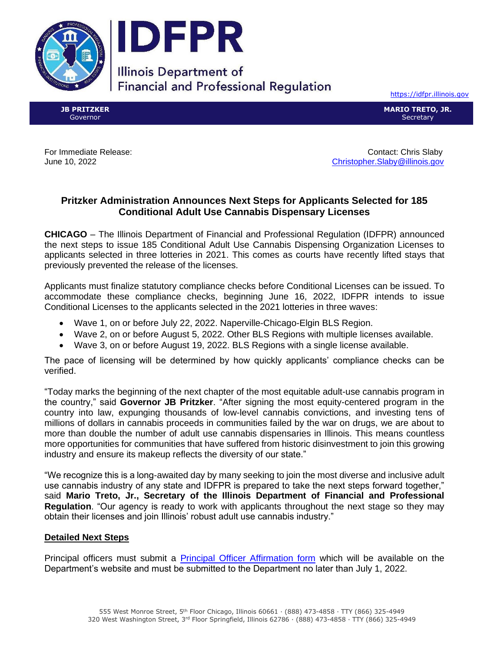



**Illinois Department of Financial and Professional Regulation** 

[https://idfpr.illinois.gov](https://idfpr.illinois.gov/)

**JB PRITZKER** Governor

**MARIO TRETO, JR. Secretary** 

For Immediate Release: Contact: Chris Slaby June 10, 2022 [Christopher.Slaby@illinois.gov](mailto:Christopher.Slaby@illinois.gov)

## **Pritzker Administration Announces Next Steps for Applicants Selected for 185 Conditional Adult Use Cannabis Dispensary Licenses**

**CHICAGO** – The Illinois Department of Financial and Professional Regulation (IDFPR) announced the next steps to issue 185 Conditional Adult Use Cannabis Dispensing Organization Licenses to applicants selected in three lotteries in 2021. This comes as courts have recently lifted stays that previously prevented the release of the licenses.

Applicants must finalize statutory compliance checks before Conditional Licenses can be issued. To accommodate these compliance checks, beginning June 16, 2022, IDFPR intends to issue Conditional Licenses to the applicants selected in the 2021 lotteries in three waves:

- Wave 1, on or before July 22, 2022. Naperville-Chicago-Elgin BLS Region.
- Wave 2, on or before August 5, 2022. Other BLS Regions with multiple licenses available.
- Wave 3, on or before August 19, 2022. BLS Regions with a single license available.

The pace of licensing will be determined by how quickly applicants' compliance checks can be verified.

"Today marks the beginning of the next chapter of the most equitable adult-use cannabis program in the country," said **Governor JB Pritzker**. "After signing the most equity-centered program in the country into law, expunging thousands of low-level cannabis convictions, and investing tens of millions of dollars in cannabis proceeds in communities failed by the war on drugs, we are about to more than double the number of adult use cannabis dispensaries in Illinois. This means countless more opportunities for communities that have suffered from historic disinvestment to join this growing industry and ensure its makeup reflects the diversity of our state."

"We recognize this is a long-awaited day by many seeking to join the most diverse and inclusive adult use cannabis industry of any state and IDFPR is prepared to take the next steps forward together," said **Mario Treto, Jr., Secretary of the Illinois Department of Financial and Professional Regulation**. "Our agency is ready to work with applicants throughout the next stage so they may obtain their licenses and join Illinois' robust adult use cannabis industry."

## **Detailed Next Steps**

Principal officers must submit a [Principal Officer Affirmation form](https://idfpr.illinois.gov/Forms/F2472.pdf) which will be available on the Department's website and must be submitted to the Department no later than July 1, 2022.